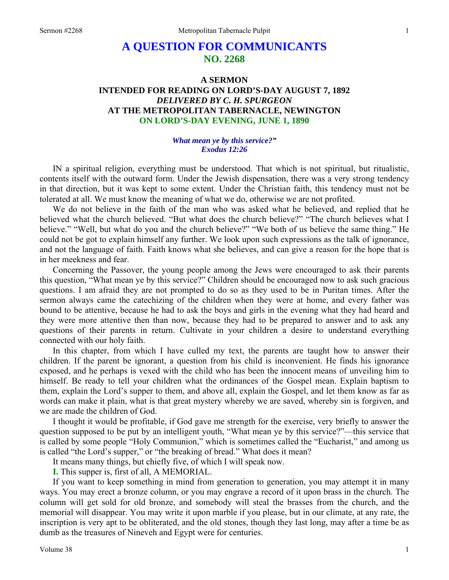# **A QUESTION FOR COMMUNICANTS NO. 2268**

# **A SERMON INTENDED FOR READING ON LORD'S-DAY AUGUST 7, 1892**  *DELIVERED BY C. H. SPURGEON*  **AT THE METROPOLITAN TABERNACLE, NEWINGTON ON LORD'S-DAY EVENING, JUNE 1, 1890**

#### *What mean ye by this service?" Exodus 12:26*

IN a spiritual religion, everything must be understood. That which is not spiritual, but ritualistic, contents itself with the outward form. Under the Jewish dispensation, there was a very strong tendency in that direction, but it was kept to some extent. Under the Christian faith, this tendency must not be tolerated at all. We must know the meaning of what we do, otherwise we are not profited.

We do not believe in the faith of the man who was asked what he believed, and replied that he believed what the church believed. "But what does the church believe?" "The church believes what I believe." "Well, but what do you and the church believe?" "We both of us believe the same thing." He could not be got to explain himself any further. We look upon such expressions as the talk of ignorance, and not the language of faith. Faith knows what she believes, and can give a reason for the hope that is in her meekness and fear.

Concerning the Passover, the young people among the Jews were encouraged to ask their parents this question, "What mean ye by this service?" Children should be encouraged now to ask such gracious questions. I am afraid they are not prompted to do so as they used to be in Puritan times. After the sermon always came the catechizing of the children when they were at home, and every father was bound to be attentive, because he had to ask the boys and girls in the evening what they had heard and they were more attentive then than now, because they had to be prepared to answer and to ask any questions of their parents in return. Cultivate in your children a desire to understand everything connected with our holy faith.

In this chapter, from which I have culled my text, the parents are taught how to answer their children. If the parent be ignorant, a question from his child is inconvenient. He finds his ignorance exposed, and he perhaps is vexed with the child who has been the innocent means of unveiling him to himself. Be ready to tell your children what the ordinances of the Gospel mean. Explain baptism to them, explain the Lord's supper to them, and above all, explain the Gospel, and let them know as far as words can make it plain, what is that great mystery whereby we are saved, whereby sin is forgiven, and we are made the children of God.

I thought it would be profitable, if God gave me strength for the exercise, very briefly to answer the question supposed to be put by an intelligent youth, "What mean ye by this service?"—this service that is called by some people "Holy Communion," which is sometimes called the "Eucharist," and among us is called "the Lord's supper," or "the breaking of bread." What does it mean?

It means many things, but chiefly five, of which I will speak now.

**I.** This supper is, first of all, A MEMORIAL.

If you want to keep something in mind from generation to generation, you may attempt it in many ways. You may erect a bronze column, or you may engrave a record of it upon brass in the church. The column will get sold for old bronze, and somebody will steal the brasses from the church, and the memorial will disappear. You may write it upon marble if you please, but in our climate, at any rate, the inscription is very apt to be obliterated, and the old stones, though they last long, may after a time be as dumb as the treasures of Nineveh and Egypt were for centuries.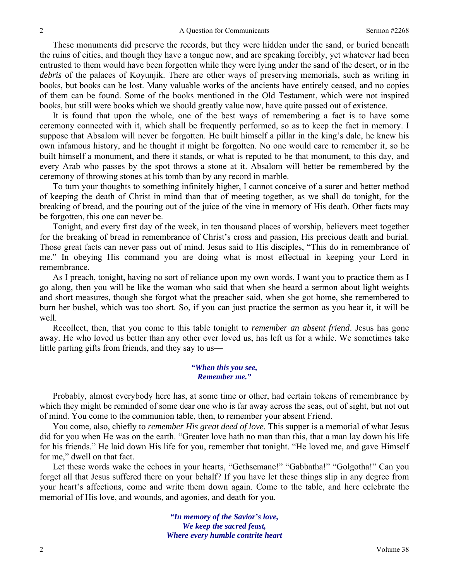These monuments did preserve the records, but they were hidden under the sand, or buried beneath the ruins of cities, and though they have a tongue now, and are speaking forcibly, yet whatever had been entrusted to them would have been forgotten while they were lying under the sand of the desert, or in the *debris* of the palaces of Koyunjik. There are other ways of preserving memorials, such as writing in books, but books can be lost. Many valuable works of the ancients have entirely ceased, and no copies of them can be found. Some of the books mentioned in the Old Testament, which were not inspired books, but still were books which we should greatly value now, have quite passed out of existence.

It is found that upon the whole, one of the best ways of remembering a fact is to have some ceremony connected with it, which shall be frequently performed, so as to keep the fact in memory. I suppose that Absalom will never be forgotten. He built himself a pillar in the king's dale, he knew his own infamous history, and he thought it might be forgotten. No one would care to remember it, so he built himself a monument, and there it stands, or what is reputed to be that monument, to this day, and every Arab who passes by the spot throws a stone at it. Absalom will better be remembered by the ceremony of throwing stones at his tomb than by any record in marble.

To turn your thoughts to something infinitely higher, I cannot conceive of a surer and better method of keeping the death of Christ in mind than that of meeting together, as we shall do tonight, for the breaking of bread, and the pouring out of the juice of the vine in memory of His death. Other facts may be forgotten, this one can never be.

Tonight, and every first day of the week, in ten thousand places of worship, believers meet together for the breaking of bread in remembrance of Christ's cross and passion, His precious death and burial. Those great facts can never pass out of mind. Jesus said to His disciples, "This do in remembrance of me." In obeying His command you are doing what is most effectual in keeping your Lord in remembrance.

As I preach, tonight, having no sort of reliance upon my own words, I want you to practice them as I go along, then you will be like the woman who said that when she heard a sermon about light weights and short measures, though she forgot what the preacher said, when she got home, she remembered to burn her bushel, which was too short. So, if you can just practice the sermon as you hear it, it will be well.

Recollect, then, that you come to this table tonight to *remember an absent friend*. Jesus has gone away. He who loved us better than any other ever loved us, has left us for a while. We sometimes take little parting gifts from friends, and they say to us—

### *"When this you see, Remember me."*

Probably, almost everybody here has, at some time or other, had certain tokens of remembrance by which they might be reminded of some dear one who is far away across the seas, out of sight, but not out of mind. You come to the communion table, then, to remember your absent Friend.

You come, also, chiefly to *remember His great deed of love*. This supper is a memorial of what Jesus did for you when He was on the earth. "Greater love hath no man than this, that a man lay down his life for his friends." He laid down His life for you, remember that tonight. "He loved me, and gave Himself for me," dwell on that fact.

Let these words wake the echoes in your hearts, "Gethsemane!" "Gabbatha!" "Golgotha!" Can you forget all that Jesus suffered there on your behalf? If you have let these things slip in any degree from your heart's affections, come and write them down again. Come to the table, and here celebrate the memorial of His love, and wounds, and agonies, and death for you.

> *"In memory of the Savior's love, We keep the sacred feast, Where every humble contrite heart*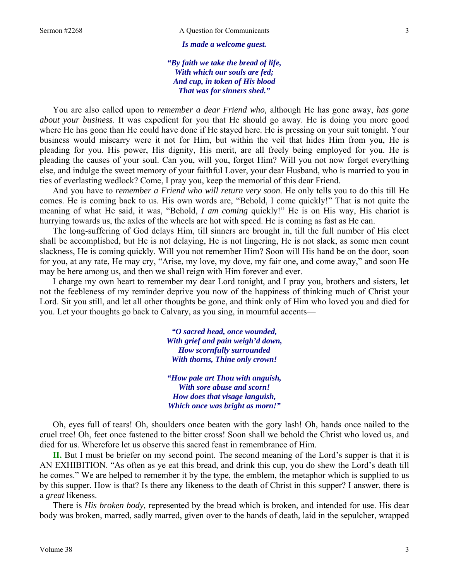*Is made a welcome guest.* 

*"By faith we take the bread of life, With which our souls are fed; And cup, in token of His blood That was for sinners shed."* 

You are also called upon to *remember a dear Friend who,* although He has gone away, *has gone about your business*. It was expedient for you that He should go away. He is doing you more good where He has gone than He could have done if He stayed here. He is pressing on your suit tonight. Your business would miscarry were it not for Him, but within the veil that hides Him from you, He is pleading for you. His power, His dignity, His merit, are all freely being employed for you. He is pleading the causes of your soul. Can you, will you, forget Him? Will you not now forget everything else, and indulge the sweet memory of your faithful Lover, your dear Husband, who is married to you in ties of everlasting wedlock? Come, I pray you, keep the memorial of this dear Friend.

And you have to *remember a Friend who will return very soon*. He only tells you to do this till He comes. He is coming back to us. His own words are, "Behold, I come quickly!" That is not quite the meaning of what He said, it was, "Behold, *I am coming* quickly!" He is on His way, His chariot is hurrying towards us, the axles of the wheels are hot with speed. He is coming as fast as He can.

The long-suffering of God delays Him, till sinners are brought in, till the full number of His elect shall be accomplished, but He is not delaying, He is not lingering, He is not slack, as some men count slackness, He is coming quickly. Will you not remember Him? Soon will His hand be on the door, soon for you, at any rate, He may cry, "Arise, my love, my dove, my fair one, and come away," and soon He may be here among us, and then we shall reign with Him forever and ever.

I charge my own heart to remember my dear Lord tonight, and I pray you, brothers and sisters, let not the feebleness of my reminder deprive you now of the happiness of thinking much of Christ your Lord. Sit you still, and let all other thoughts be gone, and think only of Him who loved you and died for you. Let your thoughts go back to Calvary, as you sing, in mournful accents—

> *"O sacred head, once wounded, With grief and pain weigh'd down, How scornfully surrounded With thorns, Thine only crown!*

> *"How pale art Thou with anguish, With sore abuse and scorn! How does that visage languish, Which once was bright as morn!"*

Oh, eyes full of tears! Oh, shoulders once beaten with the gory lash! Oh, hands once nailed to the cruel tree! Oh, feet once fastened to the bitter cross! Soon shall we behold the Christ who loved us, and died for us. Wherefore let us observe this sacred feast in remembrance of Him.

**II.** But I must be briefer on my second point. The second meaning of the Lord's supper is that it is AN EXHIBITION. "As often as ye eat this bread, and drink this cup, you do shew the Lord's death till he comes." We are helped to remember it by the type, the emblem, the metaphor which is supplied to us by this supper. How is that? Is there any likeness to the death of Christ in this supper? I answer, there is a *great* likeness.

There is *His broken body,* represented by the bread which is broken, and intended for use. His dear body was broken, marred, sadly marred, given over to the hands of death, laid in the sepulcher, wrapped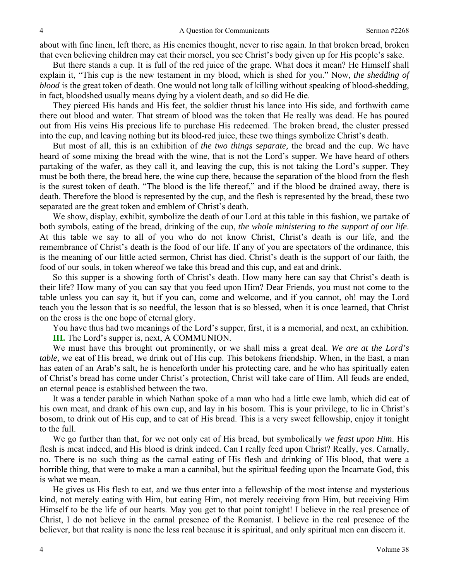about with fine linen, left there, as His enemies thought, never to rise again. In that broken bread, broken that even believing children may eat their morsel, you see Christ's body given up for His people's sake.

But there stands a cup. It is full of the red juice of the grape. What does it mean? He Himself shall explain it, "This cup is the new testament in my blood, which is shed for you." Now, *the shedding of blood* is the great token of death. One would not long talk of killing without speaking of blood-shedding, in fact, bloodshed usually means dying by a violent death, and so did He die.

They pierced His hands and His feet, the soldier thrust his lance into His side, and forthwith came there out blood and water. That stream of blood was the token that He really was dead. He has poured out from His veins His precious life to purchase His redeemed. The broken bread, the cluster pressed into the cup, and leaving nothing but its blood-red juice, these two things symbolize Christ's death.

But most of all, this is an exhibition of *the two things separate,* the bread and the cup. We have heard of some mixing the bread with the wine, that is not the Lord's supper. We have heard of others partaking of the wafer, as they call it, and leaving the cup, this is not taking the Lord's supper. They must be both there, the bread here, the wine cup there, because the separation of the blood from the flesh is the surest token of death. "The blood is the life thereof," and if the blood be drained away, there is death. Therefore the blood is represented by the cup, and the flesh is represented by the bread, these two separated are the great token and emblem of Christ's death.

We show, display, exhibit, symbolize the death of our Lord at this table in this fashion, we partake of both symbols, eating of the bread, drinking of the cup, *the whole ministering to the support of our life*. At this table we say to all of you who do not know Christ, Christ's death is our life, and the remembrance of Christ's death is the food of our life. If any of you are spectators of the ordinance, this is the meaning of our little acted sermon, Christ has died. Christ's death is the support of our faith, the food of our souls, in token whereof we take this bread and this cup, and eat and drink.

So this supper is a showing forth of Christ's death. How many here can say that Christ's death is their life? How many of you can say that you feed upon Him? Dear Friends, you must not come to the table unless you can say it, but if you can, come and welcome, and if you cannot, oh! may the Lord teach you the lesson that is so needful, the lesson that is so blessed, when it is once learned, that Christ on the cross is the one hope of eternal glory.

You have thus had two meanings of the Lord's supper, first, it is a memorial, and next, an exhibition. **III.** The Lord's supper is, next, A COMMUNION.

We must have this brought out prominently, or we shall miss a great deal. *We are at the Lord's table,* we eat of His bread, we drink out of His cup. This betokens friendship. When, in the East, a man has eaten of an Arab's salt, he is henceforth under his protecting care, and he who has spiritually eaten of Christ's bread has come under Christ's protection, Christ will take care of Him. All feuds are ended, an eternal peace is established between the two.

It was a tender parable in which Nathan spoke of a man who had a little ewe lamb, which did eat of his own meat, and drank of his own cup, and lay in his bosom. This is your privilege, to lie in Christ's bosom, to drink out of His cup, and to eat of His bread. This is a very sweet fellowship, enjoy it tonight to the full.

We go further than that, for we not only eat of His bread, but symbolically *we feast upon Him*. His flesh is meat indeed, and His blood is drink indeed. Can I really feed upon Christ? Really, yes. Carnally, no. There is no such thing as the carnal eating of His flesh and drinking of His blood, that were a horrible thing, that were to make a man a cannibal, but the spiritual feeding upon the Incarnate God, this is what we mean.

He gives us His flesh to eat, and we thus enter into a fellowship of the most intense and mysterious kind, not merely eating with Him, but eating Him, not merely receiving from Him, but receiving Him Himself to be the life of our hearts. May you get to that point tonight! I believe in the real presence of Christ, I do not believe in the carnal presence of the Romanist. I believe in the real presence of the believer, but that reality is none the less real because it is spiritual, and only spiritual men can discern it.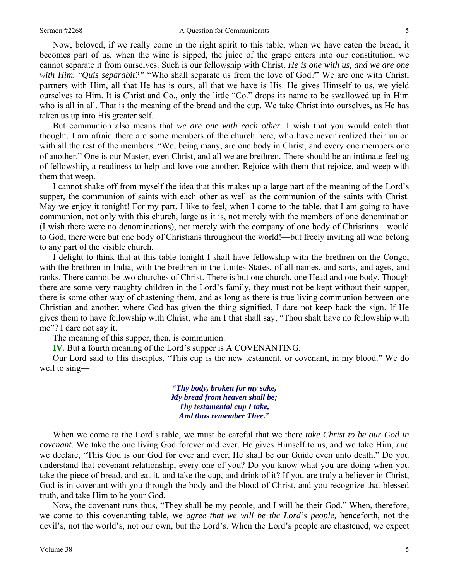Now, beloved, if we really come in the right spirit to this table, when we have eaten the bread, it becomes part of us, when the wine is sipped, the juice of the grape enters into our constitution, we cannot separate it from ourselves. Such is our fellowship with Christ. *He is one with us, and we are one with Him.* "*Quis separabit?"* "Who shall separate us from the love of God?" We are one with Christ, partners with Him, all that He has is ours, all that we have is His. He gives Himself to us, we yield ourselves to Him. It is Christ and Co., only the little "Co." drops its name to be swallowed up in Him who is all in all. That is the meaning of the bread and the cup. We take Christ into ourselves, as He has taken us up into His greater self.

But communion also means that *we are one with each other*. I wish that you would catch that thought. I am afraid there are some members of the church here, who have never realized their union with all the rest of the members. "We, being many, are one body in Christ, and every one members one of another." One is our Master, even Christ, and all we are brethren. There should be an intimate feeling of fellowship, a readiness to help and love one another. Rejoice with them that rejoice, and weep with them that weep.

I cannot shake off from myself the idea that this makes up a large part of the meaning of the Lord's supper, the communion of saints with each other as well as the communion of the saints with Christ. May we enjoy it tonight! For my part, I like to feel, when I come to the table, that I am going to have communion, not only with this church, large as it is, not merely with the members of one denomination (I wish there were no denominations), not merely with the company of one body of Christians—would to God, there were but one body of Christians throughout the world!—but freely inviting all who belong to any part of the visible church,

I delight to think that at this table tonight I shall have fellowship with the brethren on the Congo, with the brethren in India, with the brethren in the Unites States, of all names, and sorts, and ages, and ranks. There cannot be two churches of Christ. There is but one church, one Head and one body. Though there are some very naughty children in the Lord's family, they must not be kept without their supper, there is some other way of chastening them, and as long as there is true living communion between one Christian and another, where God has given the thing signified, I dare not keep back the sign. If He gives them to have fellowship with Christ, who am I that shall say, "Thou shalt have no fellowship with me"? I dare not say it.

The meaning of this supper, then, is communion.

**IV.** But a fourth meaning of the Lord's supper is A COVENANTING.

Our Lord said to His disciples, "This cup is the new testament, or covenant, in my blood." We do well to sing—

> *"Thy body, broken for my sake, My bread from heaven shall be; Thy testamental cup I take, And thus remember Thee."*

When we come to the Lord's table, we must be careful that we there *take Christ to be our God in covenant*. We take the one living God forever and ever. He gives Himself to us, and we take Him, and we declare, "This God is our God for ever and ever, He shall be our Guide even unto death." Do you understand that covenant relationship, every one of you? Do you know what you are doing when you take the piece of bread, and eat it, and take the cup, and drink of it? If you are truly a believer in Christ, God is in covenant with you through the body and the blood of Christ, and you recognize that blessed truth, and take Him to be your God.

Now, the covenant runs thus, "They shall be my people, and I will be their God." When, therefore, we come to this covenanting table, we *agree that we will be the Lord's people,* henceforth, not the devil's, not the world's, not our own, but the Lord's. When the Lord's people are chastened, we expect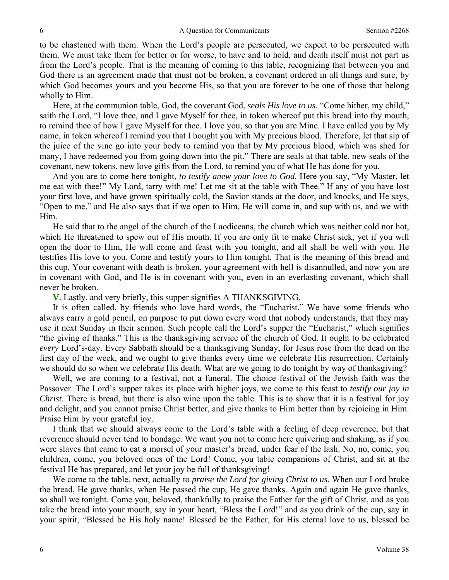to be chastened with them. When the Lord's people are persecuted, we expect to be persecuted with them. We must take them for better or for worse, to have and to hold, and death itself must not part us from the Lord's people. That is the meaning of coming to this table, recognizing that between you and God there is an agreement made that must not be broken, a covenant ordered in all things and sure, by which God becomes yours and you become His, so that you are forever to be one of those that belong wholly to Him.

Here, at the communion table, God, the covenant God, *seals His love to us*. "Come hither, my child," saith the Lord, "I love thee, and I gave Myself for thee, in token whereof put this bread into thy mouth, to remind thee of how I gave Myself for thee. I love you, so that you are Mine. I have called you by My name, in token whereof I remind you that I bought you with My precious blood. Therefore, let that sip of the juice of the vine go into your body to remind you that by My precious blood, which was shed for many, I have redeemed you from going down into the pit." There are seals at that table, new seals of the covenant, new tokens, new love gifts from the Lord, to remind you of what He has done for you.

And you are to come here tonight, *to testify anew your love to God*. Here you say, "My Master, let me eat with thee!" My Lord, tarry with me! Let me sit at the table with Thee." If any of you have lost your first love, and have grown spiritually cold, the Savior stands at the door, and knocks, and He says, "Open to me," and He also says that if we open to Him, He will come in, and sup with us, and we with Him.

He said that to the angel of the church of the Laodiceans, the church which was neither cold nor hot, which He threatened to spew out of His mouth. If you are only fit to make Christ sick, yet if you will open the door to Him, He will come and feast with you tonight, and all shall be well with you. He testifies His love to you. Come and testify yours to Him tonight. That is the meaning of this bread and this cup. Your covenant with death is broken, your agreement with hell is disannulled, and now you are in covenant with God, and He is in covenant with you, even in an everlasting covenant, which shall never be broken.

**V.** Lastly, and very briefly, this supper signifies A THANKSGIVING.

It is often called, by friends who love hard words, the "Eucharist." We have some friends who always carry a gold pencil, on purpose to put down every word that nobody understands, that they may use it next Sunday in their sermon. Such people call the Lord's supper the "Eucharist," which signifies "the giving of thanks." This is the thanksgiving service of the church of God. It ought to be celebrated *every* Lord's-day. Every Sabbath should be a thanksgiving Sunday, for Jesus rose from the dead on the first day of the week, and we ought to give thanks every time we celebrate His resurrection. Certainly we should do so when we celebrate His death. What are we going to do tonight by way of thanksgiving?

Well, we are coming to a festival, not a funeral. The choice festival of the Jewish faith was the Passover. The Lord's supper takes its place with higher joys, we come to this feast to *testify our joy in Christ*. There is bread, but there is also wine upon the table. This is to show that it is a festival for joy and delight, and you cannot praise Christ better, and give thanks to Him better than by rejoicing in Him. Praise Him by your grateful joy.

I think that we should always come to the Lord's table with a feeling of deep reverence, but that reverence should never tend to bondage. We want you not to come here quivering and shaking, as if you were slaves that came to eat a morsel of your master's bread, under fear of the lash. No, no, come, you children, come, you beloved ones of the Lord! Come, you table companions of Christ, and sit at the festival He has prepared, and let your joy be full of thanksgiving!

We come to the table, next, actually to *praise the Lord for giving Christ to us*. When our Lord broke the bread, He gave thanks, when He passed the cup, He gave thanks. Again and again He gave thanks, so shall we tonight. Come you, beloved, thankfully to praise the Father for the gift of Christ, and as you take the bread into your mouth, say in your heart, "Bless the Lord!" and as you drink of the cup, say in your spirit, "Blessed be His holy name! Blessed be the Father, for His eternal love to us, blessed be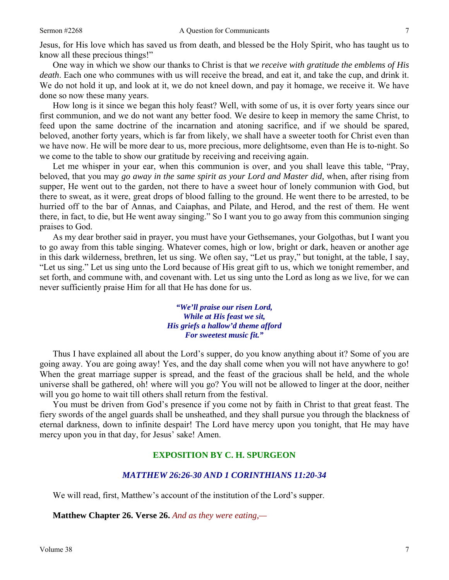Jesus, for His love which has saved us from death, and blessed be the Holy Spirit, who has taught us to know all these precious things!"

One way in which we show our thanks to Christ is that *we receive with gratitude the emblems of His death*. Each one who communes with us will receive the bread, and eat it, and take the cup, and drink it. We do not hold it up, and look at it, we do not kneel down, and pay it homage, we receive it. We have done so now these many years.

How long is it since we began this holy feast? Well, with some of us, it is over forty years since our first communion, and we do not want any better food. We desire to keep in memory the same Christ, to feed upon the same doctrine of the incarnation and atoning sacrifice, and if we should be spared, beloved, another forty years, which is far from likely, we shall have a sweeter tooth for Christ even than we have now. He will be more dear to us, more precious, more delightsome, even than He is to-night. So we come to the table to show our gratitude by receiving and receiving again.

Let me whisper in your ear, when this communion is over, and you shall leave this table, "Pray, beloved, that you may *go away in the same spirit as your Lord and Master did,* when, after rising from supper, He went out to the garden, not there to have a sweet hour of lonely communion with God, but there to sweat, as it were, great drops of blood falling to the ground. He went there to be arrested, to be hurried off to the bar of Annas, and Caiaphas, and Pilate, and Herod, and the rest of them. He went there, in fact, to die, but He went away singing." So I want you to go away from this communion singing praises to God.

As my dear brother said in prayer, you must have your Gethsemanes, your Golgothas, but I want you to go away from this table singing. Whatever comes, high or low, bright or dark, heaven or another age in this dark wilderness, brethren, let us sing. We often say, "Let us pray," but tonight, at the table, I say, "Let us sing." Let us sing unto the Lord because of His great gift to us, which we tonight remember, and set forth, and commune with, and covenant with. Let us sing unto the Lord as long as we live, for we can never sufficiently praise Him for all that He has done for us.

> *"We'll praise our risen Lord, While at His feast we sit, His griefs a hallow'd theme afford For sweetest music fit."*

Thus I have explained all about the Lord's supper, do you know anything about it? Some of you are going away. You are going away! Yes, and the day shall come when you will not have anywhere to go! When the great marriage supper is spread, and the feast of the gracious shall be held, and the whole universe shall be gathered, oh! where will you go? You will not be allowed to linger at the door, neither will you go home to wait till others shall return from the festival.

You must be driven from God's presence if you come not by faith in Christ to that great feast. The fiery swords of the angel guards shall be unsheathed, and they shall pursue you through the blackness of eternal darkness, down to infinite despair! The Lord have mercy upon you tonight, that He may have mercy upon you in that day, for Jesus' sake! Amen.

## **EXPOSITION BY C. H. SPURGEON**

## *MATTHEW 26:26-30 AND 1 CORINTHIANS 11:20-34*

We will read, first, Matthew's account of the institution of the Lord's supper.

**Matthew Chapter 26. Verse 26.** *And as they were eating,—*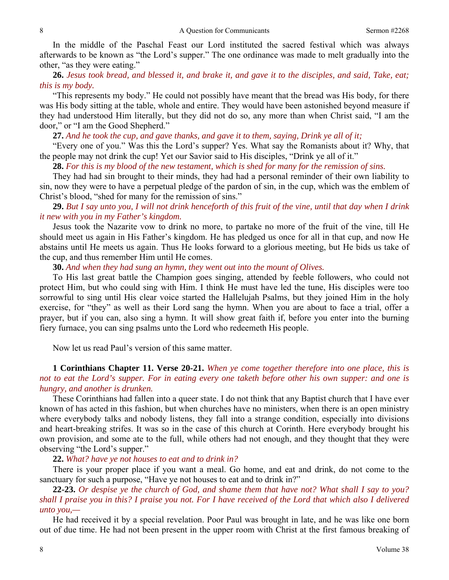In the middle of the Paschal Feast our Lord instituted the sacred festival which was always afterwards to be known as "the Lord's supper." The one ordinance was made to melt gradually into the other, "as they were eating."

**26.** *Jesus took bread, and blessed it, and brake it, and gave it to the disciples, and said, Take, eat; this is my body.*

"This represents my body." He could not possibly have meant that the bread was His body, for there was His body sitting at the table, whole and entire. They would have been astonished beyond measure if they had understood Him literally, but they did not do so, any more than when Christ said, "I am the door," or "I am the Good Shepherd."

**27.** *And he took the cup, and gave thanks, and gave it to them, saying, Drink ye all of it;*

"Every one of you." Was this the Lord's supper? Yes. What say the Romanists about it? Why, that the people may not drink the cup! Yet our Savior said to His disciples, "Drink ye all of it."

**28.** *For this is my blood of the new testament, which is shed for many for the remission of sins.*

They had had sin brought to their minds, they had had a personal reminder of their own liability to sin, now they were to have a perpetual pledge of the pardon of sin, in the cup, which was the emblem of Christ's blood, "shed for many for the remission of sins."

**29.** *But I say unto you, I will not drink henceforth of this fruit of the vine, until that day when I drink it new with you in my Father's kingdom.*

Jesus took the Nazarite vow to drink no more, to partake no more of the fruit of the vine, till He should meet us again in His Father's kingdom. He has pledged us once for all in that cup, and now He abstains until He meets us again. Thus He looks forward to a glorious meeting, but He bids us take of the cup, and thus remember Him until He comes.

**30.** *And when they had sung an hymn, they went out into the mount of Olives.*

To His last great battle the Champion goes singing, attended by feeble followers, who could not protect Him, but who could sing with Him. I think He must have led the tune, His disciples were too sorrowful to sing until His clear voice started the Hallelujah Psalms, but they joined Him in the holy exercise, for "they" as well as their Lord sang the hymn. When you are about to face a trial, offer a prayer, but if you can, also sing a hymn. It will show great faith if, before you enter into the burning fiery furnace, you can sing psalms unto the Lord who redeemeth His people.

Now let us read Paul's version of this same matter.

# **1 Corinthians Chapter 11. Verse 20-21.** *When ye come together therefore into one place, this is not to eat the Lord's supper. For in eating every one taketh before other his own supper: and one is hungry, and another is drunken.*

These Corinthians had fallen into a queer state. I do not think that any Baptist church that I have ever known of has acted in this fashion, but when churches have no ministers, when there is an open ministry where everybody talks and nobody listens, they fall into a strange condition, especially into divisions and heart-breaking strifes. It was so in the case of this church at Corinth. Here everybody brought his own provision, and some ate to the full, while others had not enough, and they thought that they were observing "the Lord's supper."

**22.** *What? have ye not houses to eat and to drink in?*

There is your proper place if you want a meal. Go home, and eat and drink, do not come to the sanctuary for such a purpose, "Have ye not houses to eat and to drink in?"

**22-23.** *Or despise ye the church of God, and shame them that have not? What shall I say to you? shall I praise you in this? I praise you not. For I have received of the Lord that which also I delivered unto you,—*

He had received it by a special revelation. Poor Paul was brought in late, and he was like one born out of due time. He had not been present in the upper room with Christ at the first famous breaking of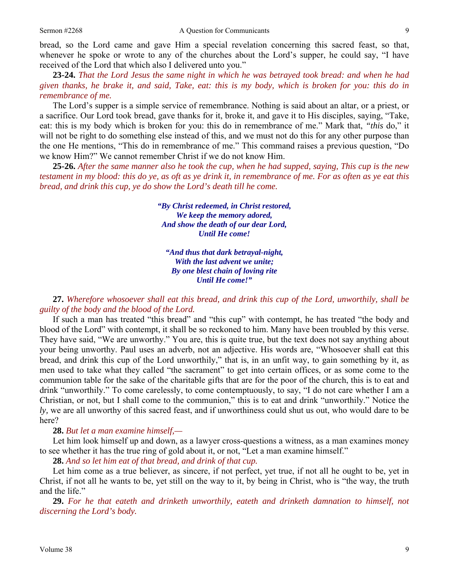bread, so the Lord came and gave Him a special revelation concerning this sacred feast, so that, whenever he spoke or wrote to any of the churches about the Lord's supper, he could say, "I have received of the Lord that which also I delivered unto you."

**23-24.** *That the Lord Jesus the same night in which he was betrayed took bread: and when he had given thanks, he brake it, and said, Take, eat: this is my body, which is broken for you: this do in remembrance of me.*

The Lord's supper is a simple service of remembrance. Nothing is said about an altar, or a priest, or a sacrifice. Our Lord took bread, gave thanks for it, broke it, and gave it to His disciples, saying, "Take, eat: this is my body which is broken for you: this do in remembrance of me." Mark that, *"this* do," it will not be right to do something else instead of this, and we must not do this for any other purpose than the one He mentions, "This do in remembrance of me." This command raises a previous question, "Do we know Him?" We cannot remember Christ if we do not know Him.

**25-26.** *After the same manner also he took the cup, when he had supped, saying, This cup is the new testament in my blood: this do ye, as oft as ye drink it, in remembrance of me. For as often as ye eat this bread, and drink this cup, ye do show the Lord's death till he come.* 

> *"By Christ redeemed, in Christ restored, We keep the memory adored, And show the death of our dear Lord, Until He come!*

*"And thus that dark betrayal-night, With the last advent we unite; By one blest chain of loving rite Until He come!"* 

**27.** *Wherefore whosoever shall eat this bread, and drink this cup of the Lord, unworthily, shall be guilty of the body and the blood of the Lord.*

If such a man has treated "this bread" and "this cup" with contempt, he has treated "the body and blood of the Lord" with contempt, it shall be so reckoned to him. Many have been troubled by this verse. They have said, "We are unworthy." You are, this is quite true, but the text does not say anything about your being unworthy. Paul uses an adverb, not an adjective. His words are, "Whosoever shall eat this bread, and drink this cup of the Lord unworthily," that is, in an unfit way, to gain something by it, as men used to take what they called "the sacrament" to get into certain offices, or as some come to the communion table for the sake of the charitable gifts that are for the poor of the church, this is to eat and drink "unworthily." To come carelessly, to come contemptuously, to say, "I do not care whether I am a Christian, or not, but I shall come to the communion," this is to eat and drink "unworthily." Notice the *ly,* we are all unworthy of this sacred feast, and if unworthiness could shut us out, who would dare to be here?

**28.** *But let a man examine himself,—*

Let him look himself up and down, as a lawyer cross-questions a witness, as a man examines money to see whether it has the true ring of gold about it, or not, "Let a man examine himself."

**28.** *And so let him eat of that bread, and drink of that cup.*

Let him come as a true believer, as sincere, if not perfect, yet true, if not all he ought to be, yet in Christ, if not all he wants to be, yet still on the way to it, by being in Christ, who is "the way, the truth and the life."

**29.** *For he that eateth and drinketh unworthily, eateth and drinketh damnation to himself, not discerning the Lord's body.*